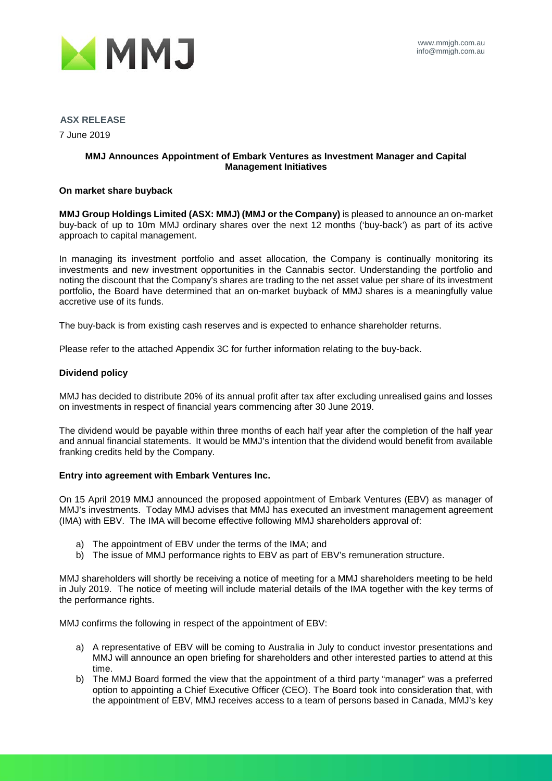

### **ASX RELEASE**

7 June 2019

### **MMJ Announces Appointment of Embark Ventures as Investment Manager and Capital Management Initiatives**

### **On market share buyback**

**MMJ Group Holdings Limited (ASX: MMJ) (MMJ or the Company)** is pleased to announce an on-market buy-back of up to 10m MMJ ordinary shares over the next 12 months ('buy-back') as part of its active approach to capital management.

In managing its investment portfolio and asset allocation, the Company is continually monitoring its investments and new investment opportunities in the Cannabis sector. Understanding the portfolio and noting the discount that the Company's shares are trading to the net asset value per share of its investment portfolio, the Board have determined that an on-market buyback of MMJ shares is a meaningfully value accretive use of its funds.

The buy-back is from existing cash reserves and is expected to enhance shareholder returns.

Please refer to the attached Appendix 3C for further information relating to the buy-back.

### **Dividend policy**

MMJ has decided to distribute 20% of its annual profit after tax after excluding unrealised gains and losses on investments in respect of financial years commencing after 30 June 2019.

The dividend would be payable within three months of each half year after the completion of the half year and annual financial statements. It would be MMJ's intention that the dividend would benefit from available franking credits held by the Company.

### **Entry into agreement with Embark Ventures Inc.**

On 15 April 2019 MMJ announced the proposed appointment of Embark Ventures (EBV) as manager of MMJ's investments. Today MMJ advises that MMJ has executed an investment management agreement (IMA) with EBV. The IMA will become effective following MMJ shareholders approval of:

- a) The appointment of EBV under the terms of the IMA; and
- b) The issue of MMJ performance rights to EBV as part of EBV's remuneration structure.

MMJ shareholders will shortly be receiving a notice of meeting for a MMJ shareholders meeting to be held in July 2019. The notice of meeting will include material details of the IMA together with the key terms of the performance rights.

MMJ confirms the following in respect of the appointment of EBV:

- a) A representative of EBV will be coming to Australia in July to conduct investor presentations and MMJ will announce an open briefing for shareholders and other interested parties to attend at this time.
- b) The MMJ Board formed the view that the appointment of a third party "manager" was a preferred option to appointing a Chief Executive Officer (CEO). The Board took into consideration that, with the appointment of EBV, MMJ receives access to a team of persons based in Canada, MMJ's key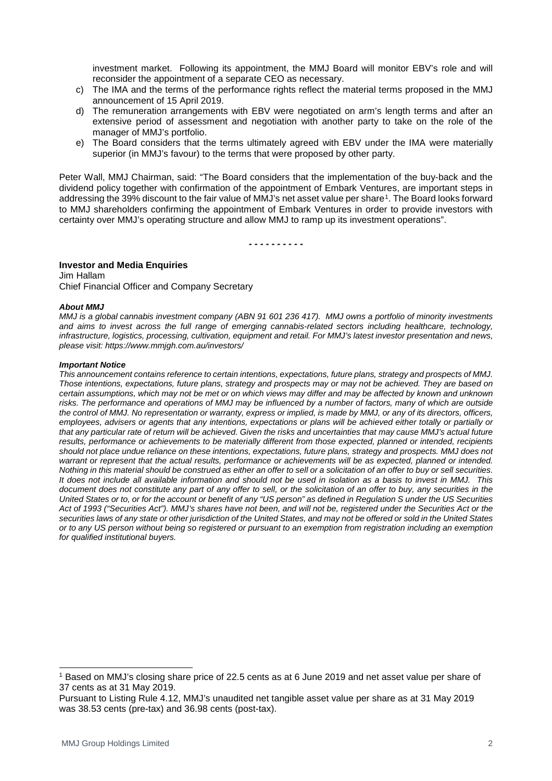investment market. Following its appointment, the MMJ Board will monitor EBV's role and will reconsider the appointment of a separate CEO as necessary.

- c) The IMA and the terms of the performance rights reflect the material terms proposed in the MMJ announcement of 15 April 2019.
- d) The remuneration arrangements with EBV were negotiated on arm's length terms and after an extensive period of assessment and negotiation with another party to take on the role of the manager of MMJ's portfolio.
- e) The Board considers that the terms ultimately agreed with EBV under the IMA were materially superior (in MMJ's favour) to the terms that were proposed by other party.

Peter Wall, MMJ Chairman, said: "The Board considers that the implementation of the buy-back and the dividend policy together with confirmation of the appointment of Embark Ventures, are important steps in addressing the 39% discount to the fair value of MMJ's net asset value per share[1.](#page-1-0) The Board looks forward to MMJ shareholders confirming the appointment of Embark Ventures in order to provide investors with certainty over MMJ's operating structure and allow MMJ to ramp up its investment operations".

*- - - - - - - - - -*

### **Investor and Media Enquiries**

Jim Hallam Chief Financial Officer and Company Secretary

### *About MMJ*

*MMJ is a global cannabis investment company (ABN 91 601 236 417). MMJ owns a portfolio of minority investments and aims to invest across the full range of emerging cannabis-related sectors including healthcare, technology, infrastructure, logistics, processing, cultivation, equipment and retail. For MMJ's latest investor presentation and news, please visit: https://www.mmjgh.com.au/investors/*

### *Important Notice*

*This announcement contains reference to certain intentions, expectations, future plans, strategy and prospects of MMJ. Those intentions, expectations, future plans, strategy and prospects may or may not be achieved. They are based on certain assumptions, which may not be met or on which views may differ and may be affected by known and unknown*  risks. The performance and operations of MMJ may be influenced by a number of factors, many of which are outside *the control of MMJ. No representation or warranty, express or implied, is made by MMJ, or any of its directors, officers,*  employees, advisers or agents that any intentions, expectations or plans will be achieved either totally or partially or *that any particular rate of return will be achieved. Given the risks and uncertainties that may cause MMJ's actual future*  results, performance or achievements to be materially different from those expected, planned or intended, recipients *should not place undue reliance on these intentions, expectations, future plans, strategy and prospects. MMJ does not warrant or represent that the actual results, performance or achievements will be as expected, planned or intended. Nothing in this material should be construed as either an offer to sell or a solicitation of an offer to buy or sell securities. It does not include all available information and should not be used in isolation as a basis to invest in MMJ. This document does not constitute any part of any offer to sell, or the solicitation of an offer to buy, any securities in the United States or to, or for the account or benefit of any "US person" as defined in Regulation S under the US Securities Act of 1993 ("Securities Act"). MMJ's shares have not been, and will not be, registered under the Securities Act or the securities laws of any state or other jurisdiction of the United States, and may not be offered or sold in the United States or to any US person without being so registered or pursuant to an exemption from registration including an exemption for qualified institutional buyers.*

<span id="page-1-0"></span> <sup>1</sup> Based on MMJ's closing share price of 22.5 cents as at 6 June 2019 and net asset value per share of 37 cents as at 31 May 2019.

Pursuant to Listing Rule 4.12, MMJ's unaudited net tangible asset value per share as at 31 May 2019 was 38.53 cents (pre-tax) and 36.98 cents (post-tax).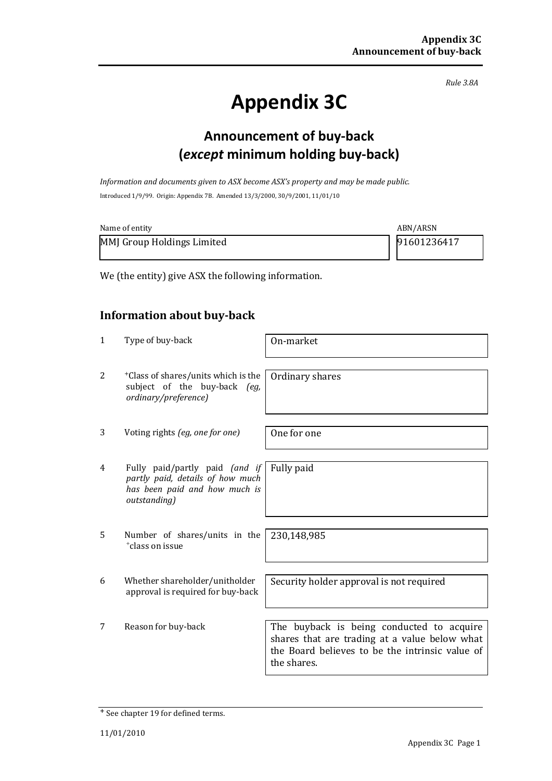*Rule 3.8A*

# **Appendix 3C**

# **Announcement of buy-back (***except* **minimum holding buy-back)**

*Information and documents given to ASX become ASX's property and may be made public.* Introduced 1/9/99. Origin: Appendix 7B. Amended 13/3/2000, 30/9/2001, 11/01/10

| Name of entity             | ABN/ARSN    |
|----------------------------|-------------|
| MMJ Group Holdings Limited | 91601236417 |

We (the entity) give ASX the following information.

## **Information about buy-back**

| 1 | Type of buy-back                                                                                                    | On-market                                                                                                                                                    |
|---|---------------------------------------------------------------------------------------------------------------------|--------------------------------------------------------------------------------------------------------------------------------------------------------------|
| 2 | <sup>+</sup> Class of shares/units which is the<br>subject of the buy-back (eg,<br>ordinary/preference)             | Ordinary shares                                                                                                                                              |
| 3 | Voting rights (eg, one for one)                                                                                     | One for one                                                                                                                                                  |
| 4 | Fully paid/partly paid (and if<br>partly paid, details of how much<br>has been paid and how much is<br>outstanding) | Fully paid                                                                                                                                                   |
| 5 | Number of shares/units in the<br><sup>+</sup> class on issue                                                        | 230,148,985                                                                                                                                                  |
| 6 | Whether shareholder/unitholder<br>approval is required for buy-back                                                 | Security holder approval is not required                                                                                                                     |
| 7 | Reason for buy-back                                                                                                 | The buyback is being conducted to acquire<br>shares that are trading at a value below what<br>the Board believes to be the intrinsic value of<br>the shares. |

<sup>+</sup> See chapter 19 for defined terms.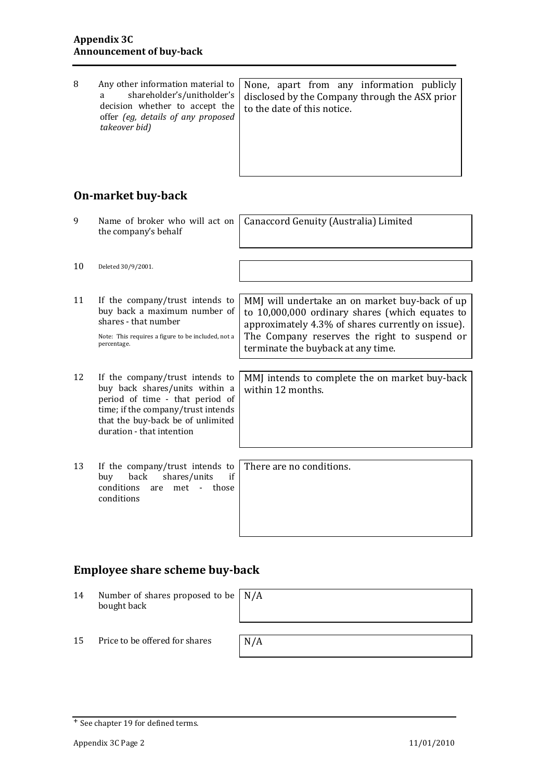| 8<br>Any other information material to<br>shareholder's/unitholder's<br>a<br>decision whether to accept the<br>offer (eg, details of any proposed<br>takeover bid) | None, apart from any information publicly<br>disclosed by the Company through the ASX prior<br>to the date of this notice. |
|--------------------------------------------------------------------------------------------------------------------------------------------------------------------|----------------------------------------------------------------------------------------------------------------------------|
|--------------------------------------------------------------------------------------------------------------------------------------------------------------------|----------------------------------------------------------------------------------------------------------------------------|

## **On-market buy-back**

| 9  | Name of broker who will act on<br>the company's behalf                                                                                                                                                       | Canaccord Genuity (Australia) Limited                                                                                                                                                                  |
|----|--------------------------------------------------------------------------------------------------------------------------------------------------------------------------------------------------------------|--------------------------------------------------------------------------------------------------------------------------------------------------------------------------------------------------------|
| 10 |                                                                                                                                                                                                              |                                                                                                                                                                                                        |
|    | Deleted 30/9/2001.                                                                                                                                                                                           |                                                                                                                                                                                                        |
| 11 | If the company/trust intends to<br>buy back a maximum number of<br>shares - that number<br>Note: This requires a figure to be included, not a                                                                | MMJ will undertake an on market buy-back of up<br>to 10,000,000 ordinary shares (which equates to<br>approximately 4.3% of shares currently on issue).<br>The Company reserves the right to suspend or |
|    | percentage.                                                                                                                                                                                                  | terminate the buyback at any time.                                                                                                                                                                     |
| 12 | If the company/trust intends to<br>buy back shares/units within a<br>period of time - that period of<br>time; if the company/trust intends<br>that the buy-back be of unlimited<br>duration - that intention | MMJ intends to complete the on market buy-back<br>within 12 months.                                                                                                                                    |
| 13 | If the company/trust intends to<br>back<br>shares/units<br>if<br>buy<br>conditions<br>met -<br>those<br>are<br>conditions                                                                                    | There are no conditions.                                                                                                                                                                               |

# **Employee share scheme buy-back**

| 14 | Number of shares proposed to be $\mid N/A \rangle$<br>bought back |     |
|----|-------------------------------------------------------------------|-----|
| 15 | Price to be offered for shares                                    | N/A |

<sup>+</sup> See chapter 19 for defined terms.